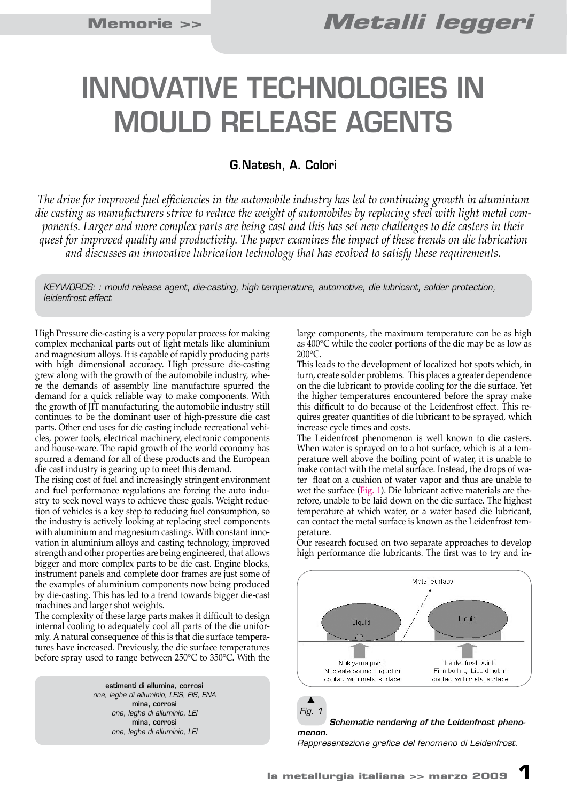# INNOVATIVE TECHNOLOGIES IN MOULD RELEASE AGENTS

### G.Natesh, A. Colori

*The drive for improved fuel efficiencies in the automobile industry has led to continuing growth in aluminium die casting as manufacturers strive to reduce the weight of automobiles by replacing steel with light metal components. Larger and more complex parts are being cast and this has set new challenges to die casters in their quest for improved quality and productivity. The paper examines the impact of these trends on die lubrication and discusses an innovative lubrication technology that has evolved to satisfy these requirements.*

*KEYWORDS: : mould release agent, die-casting, high temperature, automotive, die lubricant, solder protection, leidenfrost effect*

High Pressure die-casting is a very popular process for making complex mechanical parts out of light metals like aluminium and magnesium alloys. It is capable of rapidly producing parts with high dimensional accuracy. High pressure die-casting grew along with the growth of the automobile industry, where the demands of assembly line manufacture spurred the demand for a quick reliable way to make components. With the growth of JIT manufacturing, the automobile industry still continues to be the dominant user of high-pressure die cast parts. Other end uses for die casting include recreational vehicles, power tools, electrical machinery, electronic components and house-ware. The rapid growth of the world economy has spurred a demand for all of these products and the European die cast industry is gearing up to meet this demand.

The rising cost of fuel and increasingly stringent environment and fuel performance regulations are forcing the auto industry to seek novel ways to achieve these goals. Weight reduction of vehicles is a key step to reducing fuel consumption, so the industry is actively looking at replacing steel components with aluminium and magnesium castings. With constant innovation in aluminium alloys and casting technology, improved strength and other properties are being engineered, that allows bigger and more complex parts to be die cast. Engine blocks, instrument panels and complete door frames are just some of the examples of aluminium components now being produced by die-casting. This has led to a trend towards bigger die-cast machines and larger shot weights.

The complexity of these large parts makes it difficult to design internal cooling to adequately cool all parts of the die uniformly. A natural consequence of this is that die surface temperatures have increased. Previously, the die surface temperatures before spray used to range between 250°C to 350°C. With the

> estimenti di allumina, corrosi *one, leghe di alluminio, LEIS, EIS, ENA* mina, corrosi *one, leghe di alluminio, LEI* mina, corrosi *one, leghe di alluminio, LEI*

large components, the maximum temperature can be as high as 400°C while the cooler portions of the die may be as low as 200°C.

This leads to the development of localized hot spots which, in turn, create solder problems. This places a greater dependence on the die lubricant to provide cooling for the die surface. Yet the higher temperatures encountered before the spray make this difficult to do because of the Leidenfrost effect. This requires greater quantities of die lubricant to be sprayed, which increase cycle times and costs.

The Leidenfrost phenomenon is well known to die casters. When water is sprayed on to a hot surface, which is at a temperature well above the boiling point of water, it is unable to make contact with the metal surface. Instead, the drops of water float on a cushion of water vapor and thus are unable to wet the surface (Fig. 1). Die lubricant active materials are therefore, unable to be laid down on the die surface. The highest temperature at which water, or a water based die lubricant, can contact the metal surface is known as the Leidenfrost temperature.

Our research focused on two separate approaches to develop high performance die lubricants. The first was to try and in-



#### *Schematic rendering of the Leidenfrost phenomenon.*

*Rappresentazione grafica del fenomeno di Leidenfrost.*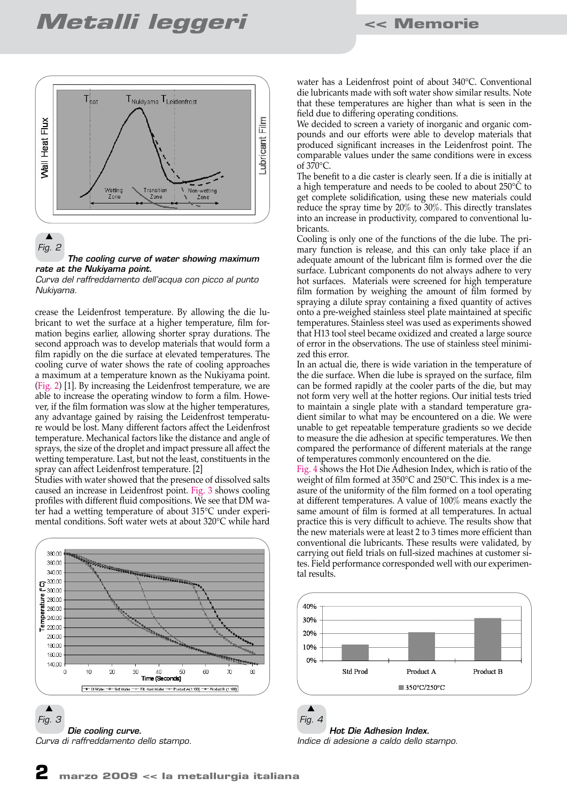



#### *The cooling curve of water showing maximum rate at the Nukiyama point.*

*Curva del raffreddamento dell'acqua con picco al punto Nukiyama.*

crease the Leidenfrost temperature. By allowing the die lubricant to wet the surface at a higher temperature, film formation begins earlier, allowing shorter spray durations. The second approach was to develop materials that would form a film rapidly on the die surface at elevated temperatures. The cooling curve of water shows the rate of cooling approaches a maximum at a temperature known as the Nukiyama point. (Fig. 2) [1]. By increasing the Leidenfrost temperature, we are able to increase the operating window to form a film. However, if the film formation was slow at the higher temperatures, any advantage gained by raising the Leidenfrost temperature would be lost. Many different factors affect the Leidenfrost temperature. Mechanical factors like the distance and angle of sprays, the size of the droplet and impact pressure all affect the wetting temperature. Last, but not the least, constituents in the spray can affect Leidenfrost temperature. [2]

Studies with water showed that the presence of dissolved salts caused an increase in Leidenfrost point. Fig. 3 shows cooling profiles with different fluid compositions. We see that DM water had a wetting temperature of about 315°C under experimental conditions. Soft water wets at about 320°C while hard



 $\blacktriangle$ *Fig. 3*

*Die cooling curve. Curva di raffreddamento dello stampo.*

water has a Leidenfrost point of about 340°C. Conventional die lubricants made with soft water show similar results. Note that these temperatures are higher than what is seen in the field due to differing operating conditions.

We decided to screen a variety of inorganic and organic compounds and our efforts were able to develop materials that produced significant increases in the Leidenfrost point. The comparable values under the same conditions were in excess of  $370^{\circ}$ C.

The benefit to a die caster is clearly seen. If a die is initially at a high temperature and needs to be cooled to about 250°C to get complete solidification, using these new materials could reduce the spray time by 20% to 30%. This directly translates into an increase in productivity, compared to conventional lubricants.

Cooling is only one of the functions of the die lube. The primary function is release, and this can only take place if an adequate amount of the lubricant film is formed over the die surface. Lubricant components do not always adhere to very hot surfaces. Materials were screened for high temperature film formation by weighing the amount of film formed by spraying a dilute spray containing a fixed quantity of actives onto a pre-weighed stainless steel plate maintained at specific temperatures. Stainless steel was used as experiments showed that H13 tool steel became oxidized and created a large source of error in the observations. The use of stainless steel minimized this error.

In an actual die, there is wide variation in the temperature of the die surface. When die lube is sprayed on the surface, film can be formed rapidly at the cooler parts of the die, but may not form very well at the hotter regions. Our initial tests tried to maintain a single plate with a standard temperature gradient similar to what may be encountered on a die. We were unable to get repeatable temperature gradients so we decide to measure the die adhesion at specific temperatures. We then compared the performance of different materials at the range of temperatures commonly encountered on the die.

Fig. 4 shows the Hot Die Adhesion Index, which is ratio of the weight of film formed at 350°C and 250°C. This index is a measure of the uniformity of the film formed on a tool operating at different temperatures. A value of 100% means exactly the same amount of film is formed at all temperatures. In actual practice this is very difficult to achieve. The results show that the new materials were at least 2 to 3 times more efficient than conventional die lubricants. These results were validated, by carrying out field trials on full-sized machines at customer sites. Field performance corresponded well with our experimental results.





*Hot Die Adhesion Index. Indice di adesione a caldo dello stampo.*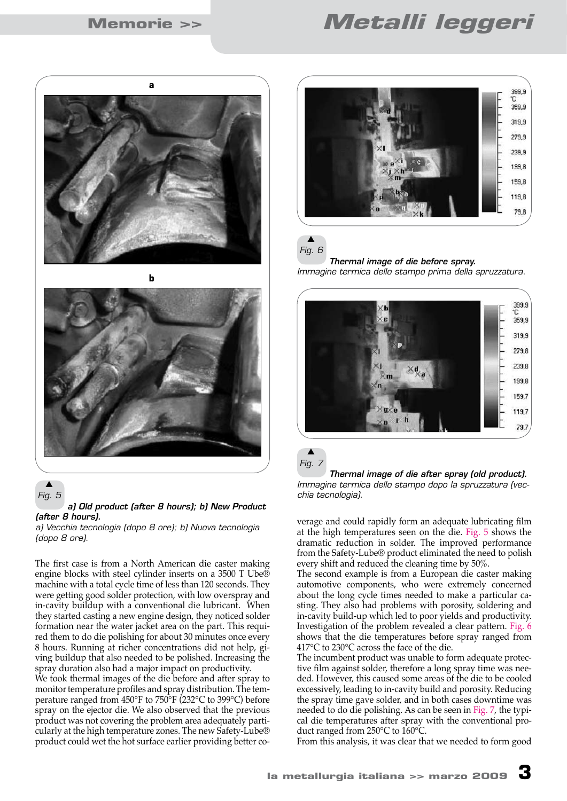## **Memorie >>** *Metalli leggeri*





#### $\blacktriangle$ *Fig. 5*

#### *a) Old product (after 8 hours); b) New Product (after 8 hours).*

*a) Vecchia tecnologia (dopo 8 ore); b) Nuova tecnologia (dopo 8 ore).*

The first case is from a North American die caster making engine blocks with steel cylinder inserts on a 3500 T Ube® machine with a total cycle time of less than 120 seconds. They were getting good solder protection, with low overspray and in-cavity buildup with a conventional die lubricant. When they started casting a new engine design, they noticed solder formation near the water jacket area on the part. This required them to do die polishing for about 30 minutes once every 8 hours. Running at richer concentrations did not help, giving buildup that also needed to be polished. Increasing the spray duration also had a major impact on productivity.

We took thermal images of the die before and after spray to monitor temperature profiles and spray distribution. The temperature ranged from 450°F to 750°F (232°C to 399°C) before spray on the ejector die. We also observed that the previous product was not covering the problem area adequately particularly at the high temperature zones. The new Safety-Lube® product could wet the hot surface earlier providing better co-



#### $\blacktriangle$ *Fig. 6*

#### *Thermal image of die before spray. Immagine termica dello stampo prima della spruzzatura.*





*Thermal image of die after spray (old product). Immagine termica dello stampo dopo la spruzzatura (vecchia tecnologia).*

verage and could rapidly form an adequate lubricating film at the high temperatures seen on the die. Fig. 5 shows the dramatic reduction in solder. The improved performance from the Safety-Lube® product eliminated the need to polish every shift and reduced the cleaning time by 50%.

The second example is from a European die caster making automotive components, who were extremely concerned about the long cycle times needed to make a particular casting. They also had problems with porosity, soldering and in-cavity build-up which led to poor yields and productivity. Investigation of the problem revealed a clear pattern. Fig. 6 shows that the die temperatures before spray ranged from 417°C to 230°C across the face of the die.

The incumbent product was unable to form adequate protective film against solder, therefore a long spray time was needed. However, this caused some areas of the die to be cooled excessively, leading to in-cavity build and porosity. Reducing the spray time gave solder, and in both cases downtime was needed to do die polishing. As can be seen in Fig. 7, the typical die temperatures after spray with the conventional product ranged from 250°C to 160°C.

From this analysis, it was clear that we needed to form good